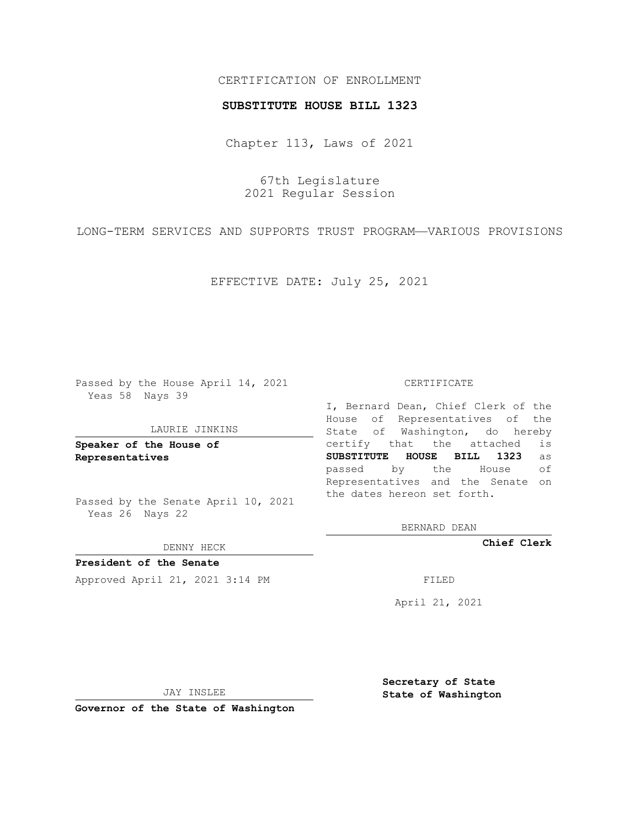## CERTIFICATION OF ENROLLMENT

### **SUBSTITUTE HOUSE BILL 1323**

Chapter 113, Laws of 2021

67th Legislature 2021 Regular Session

LONG-TERM SERVICES AND SUPPORTS TRUST PROGRAM—VARIOUS PROVISIONS

EFFECTIVE DATE: July 25, 2021

Passed by the House April 14, 2021 Yeas 58 Nays 39

#### LAURIE JINKINS

**Speaker of the House of Representatives**

Passed by the Senate April 10, 2021 Yeas 26 Nays 22

DENNY HECK

**President of the Senate** Approved April 21, 2021 3:14 PM FILED

CERTIFICATE

I, Bernard Dean, Chief Clerk of the House of Representatives of the State of Washington, do hereby certify that the attached is **SUBSTITUTE HOUSE BILL 1323** as passed by the House of Representatives and the Senate on the dates hereon set forth.

BERNARD DEAN

**Chief Clerk**

April 21, 2021

JAY INSLEE

**Governor of the State of Washington**

**Secretary of State State of Washington**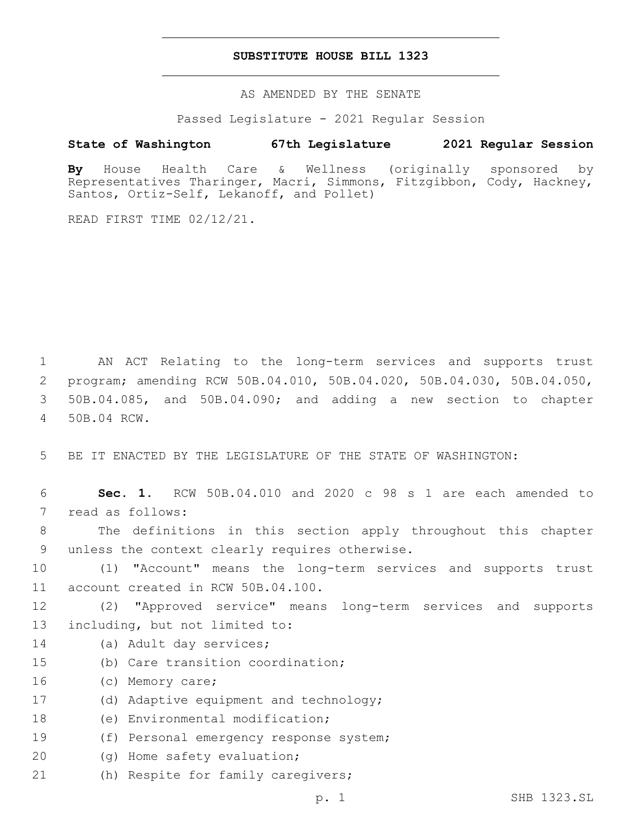## **SUBSTITUTE HOUSE BILL 1323**

AS AMENDED BY THE SENATE

Passed Legislature - 2021 Regular Session

# **State of Washington 67th Legislature 2021 Regular Session**

**By** House Health Care & Wellness (originally sponsored by Representatives Tharinger, Macri, Simmons, Fitzgibbon, Cody, Hackney, Santos, Ortiz-Self, Lekanoff, and Pollet)

READ FIRST TIME 02/12/21.

 AN ACT Relating to the long-term services and supports trust program; amending RCW 50B.04.010, 50B.04.020, 50B.04.030, 50B.04.050, 50B.04.085, and 50B.04.090; and adding a new section to chapter 50B.04 RCW.4

5 BE IT ENACTED BY THE LEGISLATURE OF THE STATE OF WASHINGTON:

6 **Sec. 1.** RCW 50B.04.010 and 2020 c 98 s 1 are each amended to 7 read as follows: 8 The definitions in this section apply throughout this chapter 9 unless the context clearly requires otherwise. 10 (1) "Account" means the long-term services and supports trust 11 account created in RCW 50B.04.100. 12 (2) "Approved service" means long-term services and supports 13 including, but not limited to: 14 (a) Adult day services; 15 (b) Care transition coordination; 16 (c) Memory care; 17 (d) Adaptive equipment and technology; 18 (e) Environmental modification; 19 (f) Personal emergency response system; 20 (g) Home safety evaluation; 21 (h) Respite for family caregivers;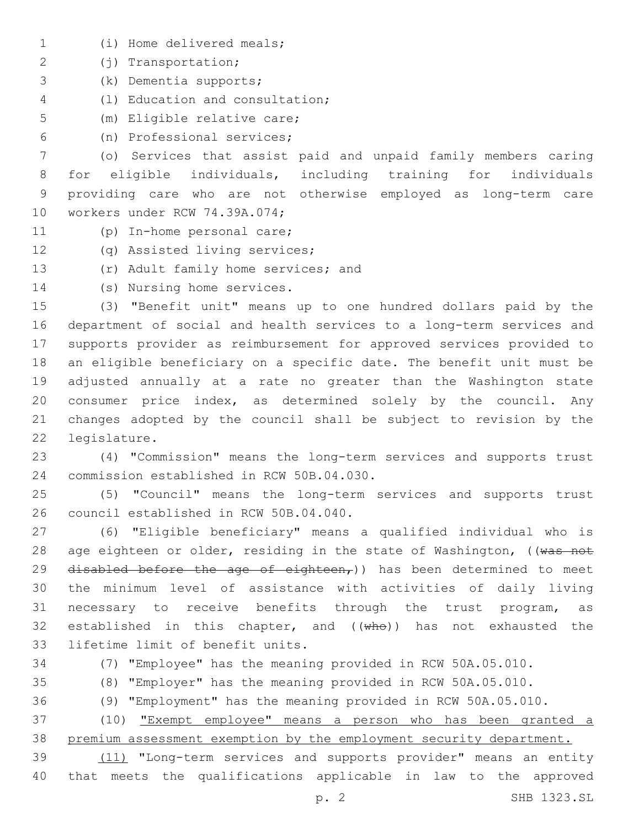- (i) Home delivered meals;1
- (j) Transportation;2
- (k) Dementia supports;3
- (l) Education and consultation;4
- 5 (m) Eligible relative care;
- (n) Professional services;6

 (o) Services that assist paid and unpaid family members caring for eligible individuals, including training for individuals providing care who are not otherwise employed as long-term care 10 workers under RCW 74.39A.074;

- 11 (p) In-home personal care;
- 12 (q) Assisted living services;
- 13 (r) Adult family home services; and
- 14 (s) Nursing home services.

 (3) "Benefit unit" means up to one hundred dollars paid by the department of social and health services to a long-term services and supports provider as reimbursement for approved services provided to an eligible beneficiary on a specific date. The benefit unit must be adjusted annually at a rate no greater than the Washington state consumer price index, as determined solely by the council. Any changes adopted by the council shall be subject to revision by the 22 legislature.

23 (4) "Commission" means the long-term services and supports trust 24 commission established in RCW 50B.04.030.

25 (5) "Council" means the long-term services and supports trust 26 council established in RCW 50B.04.040.

27 (6) "Eligible beneficiary" means a qualified individual who is 28 age eighteen or older, residing in the state of Washington, ((was not 29 disabled before the age of eighteen,)) has been determined to meet 30 the minimum level of assistance with activities of daily living 31 necessary to receive benefits through the trust program, as 32 established in this chapter, and  $((\text{wh}\Theta))$  has not exhausted the 33 lifetime limit of benefit units.

34 (7) "Employee" has the meaning provided in RCW 50A.05.010.

35 (8) "Employer" has the meaning provided in RCW 50A.05.010.

36 (9) "Employment" has the meaning provided in RCW 50A.05.010.

37 (10) "Exempt employee" means a person who has been granted a 38 premium assessment exemption by the employment security department.

39 (11) "Long-term services and supports provider" means an entity 40 that meets the qualifications applicable in law to the approved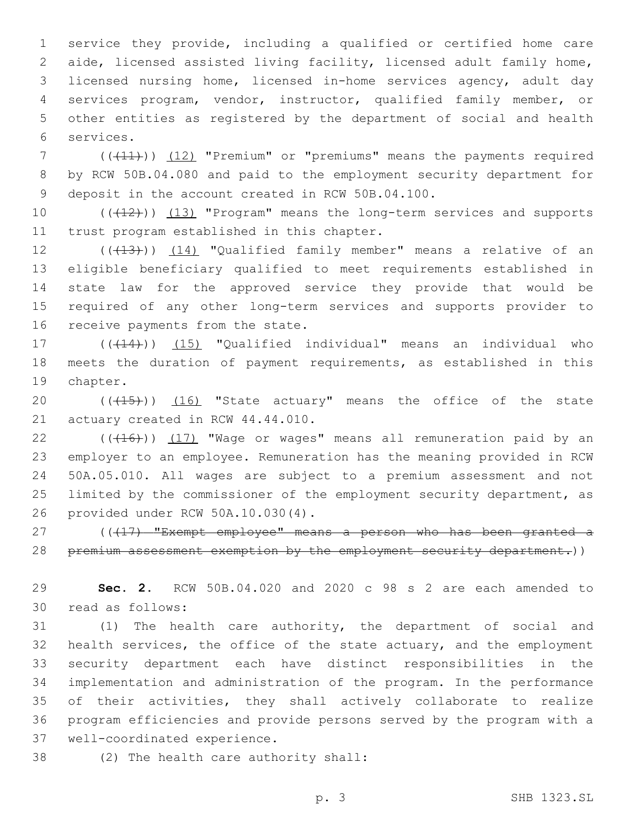service they provide, including a qualified or certified home care aide, licensed assisted living facility, licensed adult family home, licensed nursing home, licensed in-home services agency, adult day services program, vendor, instructor, qualified family member, or other entities as registered by the department of social and health services.6

7 (((41))) (12) "Premium" or "premiums" means the payments required 8 by RCW 50B.04.080 and paid to the employment security department for 9 deposit in the account created in RCW 50B.04.100.

10 (((12))) (13) "Program" means the long-term services and supports 11 trust program established in this chapter.

12 (((13))) (14) "Qualified family member" means a relative of an 13 eligible beneficiary qualified to meet requirements established in 14 state law for the approved service they provide that would be 15 required of any other long-term services and supports provider to 16 receive payments from the state.

17 (((14))) (15) "Qualified individual" means an individual who 18 meets the duration of payment requirements, as established in this 19 chapter.

20 (((15))) (16) "State actuary" means the office of the state 21 actuary created in RCW 44.44.010.

 ( $(\overline{+16})$ )  $(17)$  "Wage or wages" means all remuneration paid by an employer to an employee. Remuneration has the meaning provided in RCW 50A.05.010. All wages are subject to a premium assessment and not limited by the commissioner of the employment security department, as provided under RCW 50A.10.030(4).26

27 ((417) "Exempt employee" means a person who has been granted a 28 premium assessment exemption by the employment security department.))

29 **Sec. 2.** RCW 50B.04.020 and 2020 c 98 s 2 are each amended to 30 read as follows:

 (1) The health care authority, the department of social and health services, the office of the state actuary, and the employment security department each have distinct responsibilities in the implementation and administration of the program. In the performance of their activities, they shall actively collaborate to realize program efficiencies and provide persons served by the program with a 37 well-coordinated experience.

38 (2) The health care authority shall: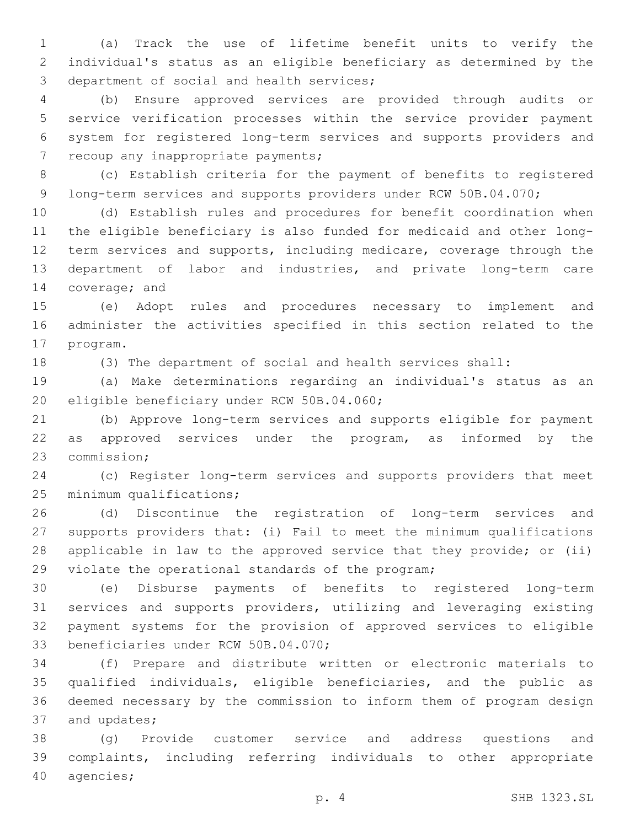(a) Track the use of lifetime benefit units to verify the individual's status as an eligible beneficiary as determined by the 3 department of social and health services;

 (b) Ensure approved services are provided through audits or service verification processes within the service provider payment system for registered long-term services and supports providers and 7 recoup any inappropriate payments;

 (c) Establish criteria for the payment of benefits to registered 9 long-term services and supports providers under RCW 50B.04.070;

 (d) Establish rules and procedures for benefit coordination when the eligible beneficiary is also funded for medicaid and other long-12 term services and supports, including medicare, coverage through the department of labor and industries, and private long-term care 14 coverage; and

 (e) Adopt rules and procedures necessary to implement and administer the activities specified in this section related to the 17 program.

(3) The department of social and health services shall:

 (a) Make determinations regarding an individual's status as an 20 eligible beneficiary under RCW 50B.04.060;

 (b) Approve long-term services and supports eligible for payment 22 as approved services under the program, as informed by the 23 commission;

 (c) Register long-term services and supports providers that meet 25 minimum qualifications;

 (d) Discontinue the registration of long-term services and supports providers that: (i) Fail to meet the minimum qualifications applicable in law to the approved service that they provide; or (ii) 29 violate the operational standards of the program;

 (e) Disburse payments of benefits to registered long-term services and supports providers, utilizing and leveraging existing payment systems for the provision of approved services to eligible 33 beneficiaries under RCW 50B.04.070;

 (f) Prepare and distribute written or electronic materials to qualified individuals, eligible beneficiaries, and the public as deemed necessary by the commission to inform them of program design 37 and updates;

 (g) Provide customer service and address questions and complaints, including referring individuals to other appropriate 40 agencies;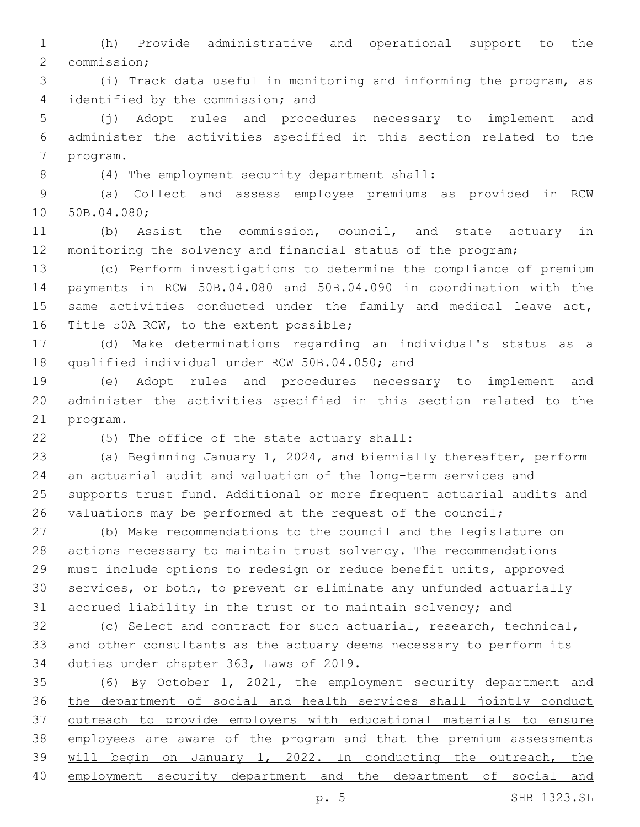(h) Provide administrative and operational support to the 2 commission;

 (i) Track data useful in monitoring and informing the program, as 4 identified by the commission; and

 (j) Adopt rules and procedures necessary to implement and administer the activities specified in this section related to the 7 program.

(4) The employment security department shall:8

 (a) Collect and assess employee premiums as provided in RCW 10 50B.04.080;

 (b) Assist the commission, council, and state actuary in monitoring the solvency and financial status of the program;

 (c) Perform investigations to determine the compliance of premium payments in RCW 50B.04.080 and 50B.04.090 in coordination with the 15 same activities conducted under the family and medical leave act, 16 Title 50A RCW, to the extent possible;

 (d) Make determinations regarding an individual's status as a 18 qualified individual under RCW 50B.04.050; and

 (e) Adopt rules and procedures necessary to implement and administer the activities specified in this section related to the 21 program.

(5) The office of the state actuary shall:22

 (a) Beginning January 1, 2024, and biennially thereafter, perform an actuarial audit and valuation of the long-term services and supports trust fund. Additional or more frequent actuarial audits and valuations may be performed at the request of the council;

 (b) Make recommendations to the council and the legislature on actions necessary to maintain trust solvency. The recommendations must include options to redesign or reduce benefit units, approved services, or both, to prevent or eliminate any unfunded actuarially accrued liability in the trust or to maintain solvency; and

 (c) Select and contract for such actuarial, research, technical, and other consultants as the actuary deems necessary to perform its 34 duties under chapter 363, Laws of 2019.

 (6) By October 1, 2021, the employment security department and the department of social and health services shall jointly conduct outreach to provide employers with educational materials to ensure employees are aware of the program and that the premium assessments 39 will begin on January 1, 2022. In conducting the outreach, the employment security department and the department of social and

p. 5 SHB 1323.SL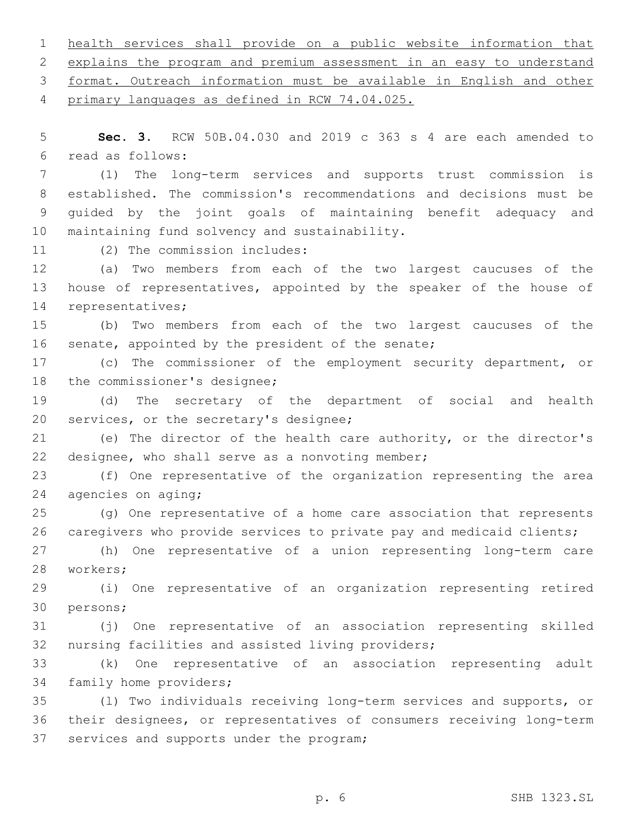1 health services shall provide on a public website information that 2 explains the program and premium assessment in an easy to understand 3 format. Outreach information must be available in English and other 4 primary languages as defined in RCW 74.04.025. 5 **Sec. 3.** RCW 50B.04.030 and 2019 c 363 s 4 are each amended to read as follows:6 7 (1) The long-term services and supports trust commission is 8 established. The commission's recommendations and decisions must be 9 guided by the joint goals of maintaining benefit adequacy and 10 maintaining fund solvency and sustainability. 11 (2) The commission includes: 12 (a) Two members from each of the two largest caucuses of the 13 house of representatives, appointed by the speaker of the house of 14 representatives; 15 (b) Two members from each of the two largest caucuses of the 16 senate, appointed by the president of the senate; 17 (c) The commissioner of the employment security department, or 18 the commissioner's designee; 19 (d) The secretary of the department of social and health 20 services, or the secretary's designee; 21 (e) The director of the health care authority, or the director's 22 designee, who shall serve as a nonvoting member; 23 (f) One representative of the organization representing the area 24 agencies on aging; 25 (g) One representative of a home care association that represents 26 caregivers who provide services to private pay and medicaid clients; 27 (h) One representative of a union representing long-term care 28 workers; 29 (i) One representative of an organization representing retired 30 persons; 31 (j) One representative of an association representing skilled 32 nursing facilities and assisted living providers; 33 (k) One representative of an association representing adult 34 family home providers; 35 (l) Two individuals receiving long-term services and supports, or

36 their designees, or representatives of consumers receiving long-term 37 services and supports under the program;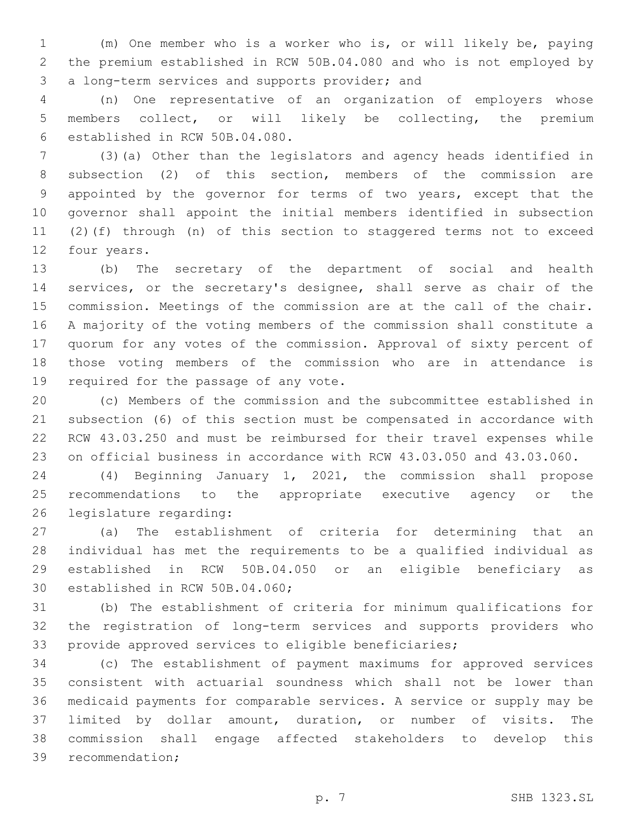(m) One member who is a worker who is, or will likely be, paying the premium established in RCW 50B.04.080 and who is not employed by 3 a long-term services and supports provider; and

 (n) One representative of an organization of employers whose members collect, or will likely be collecting, the premium established in RCW 50B.04.080.6

 (3)(a) Other than the legislators and agency heads identified in subsection (2) of this section, members of the commission are appointed by the governor for terms of two years, except that the governor shall appoint the initial members identified in subsection (2)(f) through (n) of this section to staggered terms not to exceed 12 four years.

 (b) The secretary of the department of social and health services, or the secretary's designee, shall serve as chair of the commission. Meetings of the commission are at the call of the chair. A majority of the voting members of the commission shall constitute a quorum for any votes of the commission. Approval of sixty percent of those voting members of the commission who are in attendance is 19 required for the passage of any vote.

 (c) Members of the commission and the subcommittee established in subsection (6) of this section must be compensated in accordance with RCW 43.03.250 and must be reimbursed for their travel expenses while on official business in accordance with RCW 43.03.050 and 43.03.060.

 (4) Beginning January 1, 2021, the commission shall propose recommendations to the appropriate executive agency or the 26 legislature regarding:

 (a) The establishment of criteria for determining that an individual has met the requirements to be a qualified individual as established in RCW 50B.04.050 or an eligible beneficiary as 30 established in RCW 50B.04.060;

 (b) The establishment of criteria for minimum qualifications for the registration of long-term services and supports providers who provide approved services to eligible beneficiaries;

 (c) The establishment of payment maximums for approved services consistent with actuarial soundness which shall not be lower than medicaid payments for comparable services. A service or supply may be limited by dollar amount, duration, or number of visits. The commission shall engage affected stakeholders to develop this 39 recommendation;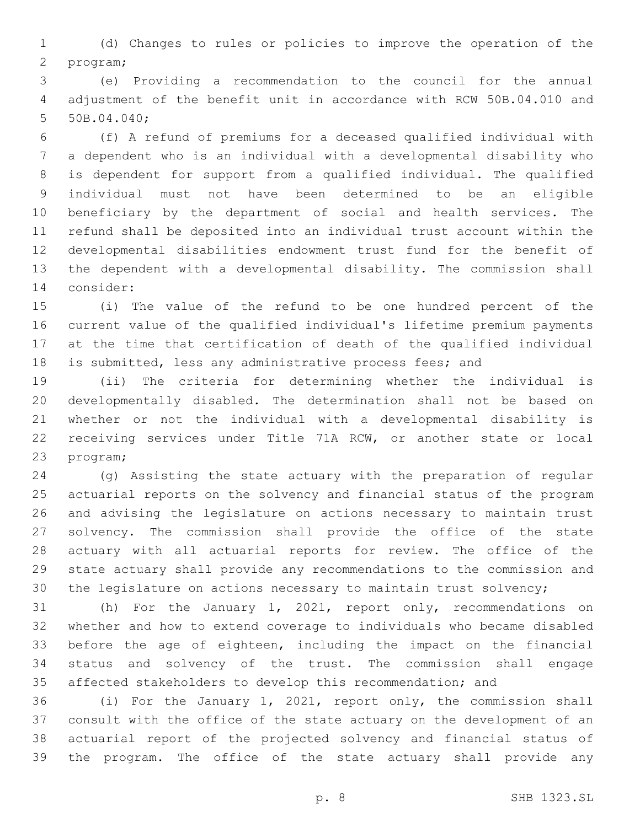(d) Changes to rules or policies to improve the operation of the 2 program;

 (e) Providing a recommendation to the council for the annual adjustment of the benefit unit in accordance with RCW 50B.04.010 and 5 50B.04.040;

 (f) A refund of premiums for a deceased qualified individual with a dependent who is an individual with a developmental disability who is dependent for support from a qualified individual. The qualified individual must not have been determined to be an eligible beneficiary by the department of social and health services. The refund shall be deposited into an individual trust account within the developmental disabilities endowment trust fund for the benefit of the dependent with a developmental disability. The commission shall 14 consider:

 (i) The value of the refund to be one hundred percent of the current value of the qualified individual's lifetime premium payments at the time that certification of death of the qualified individual is submitted, less any administrative process fees; and

 (ii) The criteria for determining whether the individual is developmentally disabled. The determination shall not be based on whether or not the individual with a developmental disability is receiving services under Title 71A RCW, or another state or local 23 program;

 (g) Assisting the state actuary with the preparation of regular actuarial reports on the solvency and financial status of the program and advising the legislature on actions necessary to maintain trust solvency. The commission shall provide the office of the state actuary with all actuarial reports for review. The office of the state actuary shall provide any recommendations to the commission and the legislature on actions necessary to maintain trust solvency;

 (h) For the January 1, 2021, report only, recommendations on whether and how to extend coverage to individuals who became disabled before the age of eighteen, including the impact on the financial status and solvency of the trust. The commission shall engage affected stakeholders to develop this recommendation; and

 (i) For the January 1, 2021, report only, the commission shall consult with the office of the state actuary on the development of an actuarial report of the projected solvency and financial status of the program. The office of the state actuary shall provide any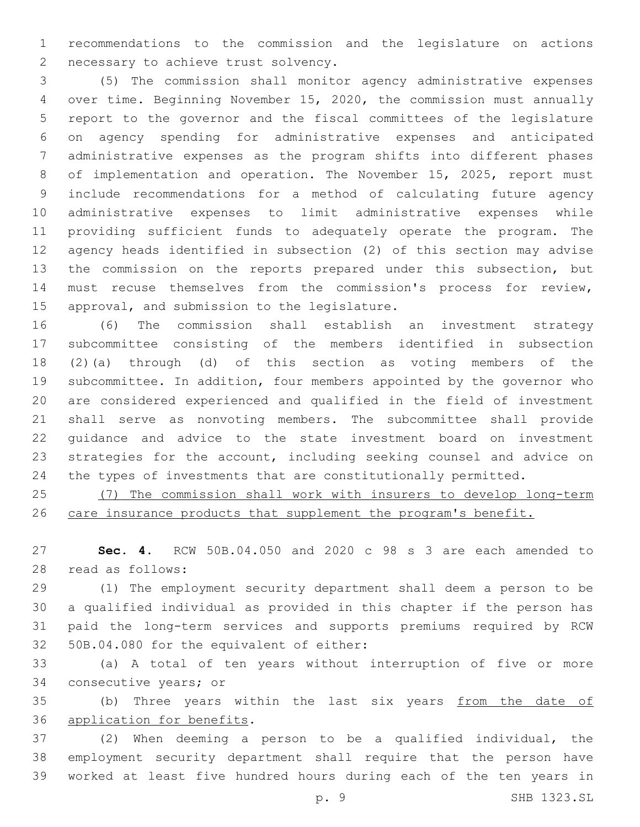recommendations to the commission and the legislature on actions 2 necessary to achieve trust solvency.

 (5) The commission shall monitor agency administrative expenses over time. Beginning November 15, 2020, the commission must annually report to the governor and the fiscal committees of the legislature on agency spending for administrative expenses and anticipated administrative expenses as the program shifts into different phases of implementation and operation. The November 15, 2025, report must include recommendations for a method of calculating future agency administrative expenses to limit administrative expenses while providing sufficient funds to adequately operate the program. The agency heads identified in subsection (2) of this section may advise the commission on the reports prepared under this subsection, but must recuse themselves from the commission's process for review, 15 approval, and submission to the legislature.

 (6) The commission shall establish an investment strategy subcommittee consisting of the members identified in subsection (2)(a) through (d) of this section as voting members of the subcommittee. In addition, four members appointed by the governor who are considered experienced and qualified in the field of investment shall serve as nonvoting members. The subcommittee shall provide guidance and advice to the state investment board on investment strategies for the account, including seeking counsel and advice on the types of investments that are constitutionally permitted.

 (7) The commission shall work with insurers to develop long-term 26 care insurance products that supplement the program's benefit.

 **Sec. 4.** RCW 50B.04.050 and 2020 c 98 s 3 are each amended to read as follows:28

 (1) The employment security department shall deem a person to be a qualified individual as provided in this chapter if the person has paid the long-term services and supports premiums required by RCW 32 50B.04.080 for the equivalent of either:

 (a) A total of ten years without interruption of five or more 34 consecutive years; or

35 (b) Three years within the last six years from the date of 36 application for benefits.

 (2) When deeming a person to be a qualified individual, the employment security department shall require that the person have worked at least five hundred hours during each of the ten years in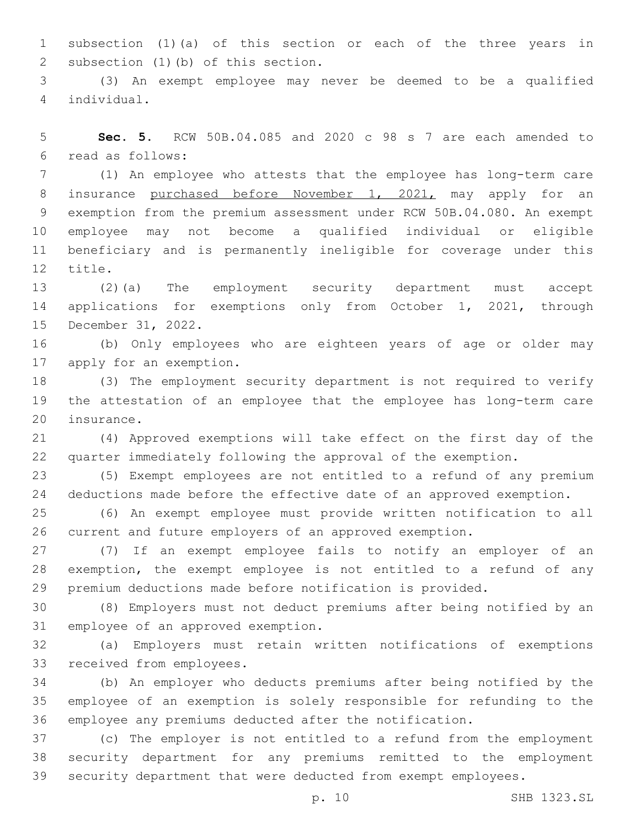subsection (1)(a) of this section or each of the three years in 2 subsection (1)(b) of this section.

 (3) An exempt employee may never be deemed to be a qualified individual.4

 **Sec. 5.** RCW 50B.04.085 and 2020 c 98 s 7 are each amended to read as follows:6

 (1) An employee who attests that the employee has long-term care 8 insurance purchased before November 1, 2021, may apply for an exemption from the premium assessment under RCW 50B.04.080. An exempt employee may not become a qualified individual or eligible beneficiary and is permanently ineligible for coverage under this 12 title.

 (2)(a) The employment security department must accept 14 applications for exemptions only from October 1, 2021, through 15 December 31, 2022.

 (b) Only employees who are eighteen years of age or older may 17 apply for an exemption.

 (3) The employment security department is not required to verify the attestation of an employee that the employee has long-term care 20 insurance.

 (4) Approved exemptions will take effect on the first day of the quarter immediately following the approval of the exemption.

 (5) Exempt employees are not entitled to a refund of any premium deductions made before the effective date of an approved exemption.

 (6) An exempt employee must provide written notification to all current and future employers of an approved exemption.

 (7) If an exempt employee fails to notify an employer of an exemption, the exempt employee is not entitled to a refund of any premium deductions made before notification is provided.

 (8) Employers must not deduct premiums after being notified by an 31 employee of an approved exemption.

 (a) Employers must retain written notifications of exemptions 33 received from employees.

 (b) An employer who deducts premiums after being notified by the employee of an exemption is solely responsible for refunding to the employee any premiums deducted after the notification.

 (c) The employer is not entitled to a refund from the employment security department for any premiums remitted to the employment security department that were deducted from exempt employees.

p. 10 SHB 1323.SL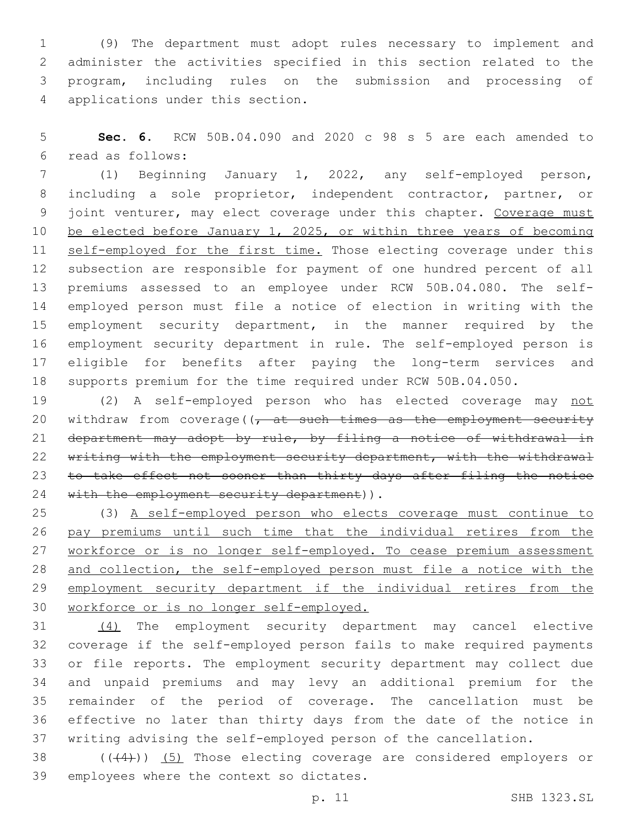(9) The department must adopt rules necessary to implement and administer the activities specified in this section related to the program, including rules on the submission and processing of 4 applications under this section.

 **Sec. 6.** RCW 50B.04.090 and 2020 c 98 s 5 are each amended to read as follows:6

 (1) Beginning January 1, 2022, any self-employed person, including a sole proprietor, independent contractor, partner, or 9 joint venturer, may elect coverage under this chapter. Coverage must be elected before January 1, 2025, or within three years of becoming 11 self-employed for the first time. Those electing coverage under this subsection are responsible for payment of one hundred percent of all premiums assessed to an employee under RCW 50B.04.080. The self- employed person must file a notice of election in writing with the employment security department, in the manner required by the employment security department in rule. The self-employed person is eligible for benefits after paying the long-term services and supports premium for the time required under RCW 50B.04.050.

19 (2) A self-employed person who has elected coverage may not 20 withdraw from coverage( $\sqrt{t}$  at such times as the employment security department may adopt by rule, by filing a notice of withdrawal in 22 writing with the employment security department, with the withdrawal 23 to take effect not sooner than thirty days after filing the notice 24 with the employment security department)).

 (3) A self-employed person who elects coverage must continue to pay premiums until such time that the individual retires from the 27 workforce or is no longer self-employed. To cease premium assessment and collection, the self-employed person must file a notice with the employment security department if the individual retires from the workforce or is no longer self-employed.

 (4) The employment security department may cancel elective coverage if the self-employed person fails to make required payments or file reports. The employment security department may collect due and unpaid premiums and may levy an additional premium for the remainder of the period of coverage. The cancellation must be effective no later than thirty days from the date of the notice in writing advising the self-employed person of the cancellation.

38  $((+4))$   $(5)$  Those electing coverage are considered employers or 39 employees where the context so dictates.